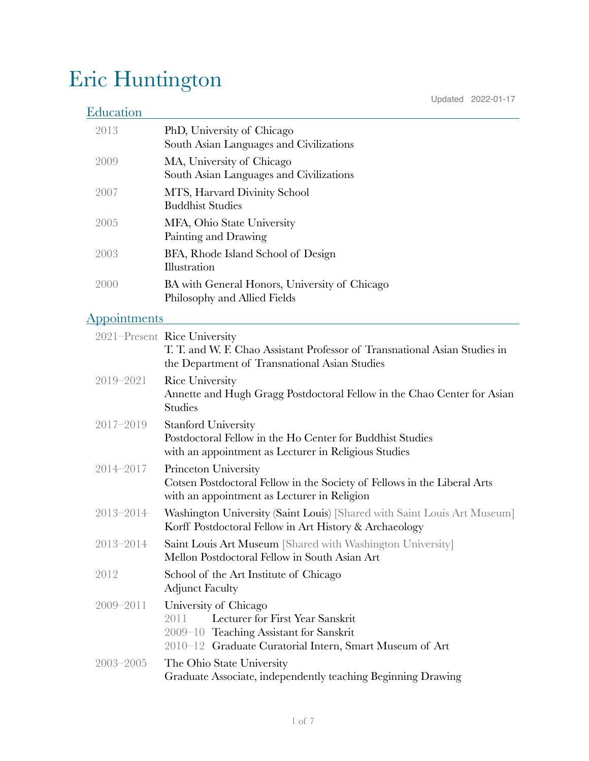# Eric Huntington

# **Education**

Updated 2022-01-17

| 2013 | PhD, University of Chicago<br>South Asian Languages and Civilizations         |
|------|-------------------------------------------------------------------------------|
| 2009 | MA, University of Chicago<br>South Asian Languages and Civilizations          |
| 2007 | MTS, Harvard Divinity School<br><b>Buddhist Studies</b>                       |
| 2005 | MFA, Ohio State University<br>Painting and Drawing                            |
| 2003 | BFA, Rhode Island School of Design<br>Illustration                            |
| 2000 | BA with General Honors, University of Chicago<br>Philosophy and Allied Fields |

### **Appointments**

|               | 2021–Present Rice University<br>T. T. and W. F. Chao Assistant Professor of Transnational Asian Studies in<br>the Department of Transnational Asian Studies             |
|---------------|-------------------------------------------------------------------------------------------------------------------------------------------------------------------------|
| 2019-2021     | <b>Rice University</b><br>Annette and Hugh Gragg Postdoctoral Fellow in the Chao Center for Asian<br><b>Studies</b>                                                     |
| $2017 - 2019$ | <b>Stanford University</b><br>Postdoctoral Fellow in the Ho Center for Buddhist Studies<br>with an appointment as Lecturer in Religious Studies                         |
| $2014 - 2017$ | Princeton University<br>Cotsen Postdoctoral Fellow in the Society of Fellows in the Liberal Arts<br>with an appointment as Lecturer in Religion                         |
| $2013 - 2014$ | Washington University (Saint Louis) [Shared with Saint Louis Art Museum]<br>Korff Postdoctoral Fellow in Art History & Archaeology                                      |
| 2013-2014     | Saint Louis Art Museum [Shared with Washington University]<br>Mellon Postdoctoral Fellow in South Asian Art                                                             |
| 2012          | School of the Art Institute of Chicago<br><b>Adjunct Faculty</b>                                                                                                        |
| $2009 - 2011$ | University of Chicago<br>Lecturer for First Year Sanskrit<br>2011<br>2009-10 Teaching Assistant for Sanskrit<br>2010-12 Graduate Curatorial Intern, Smart Museum of Art |
| $2003 - 2005$ | The Ohio State University<br>Graduate Associate, independently teaching Beginning Drawing                                                                               |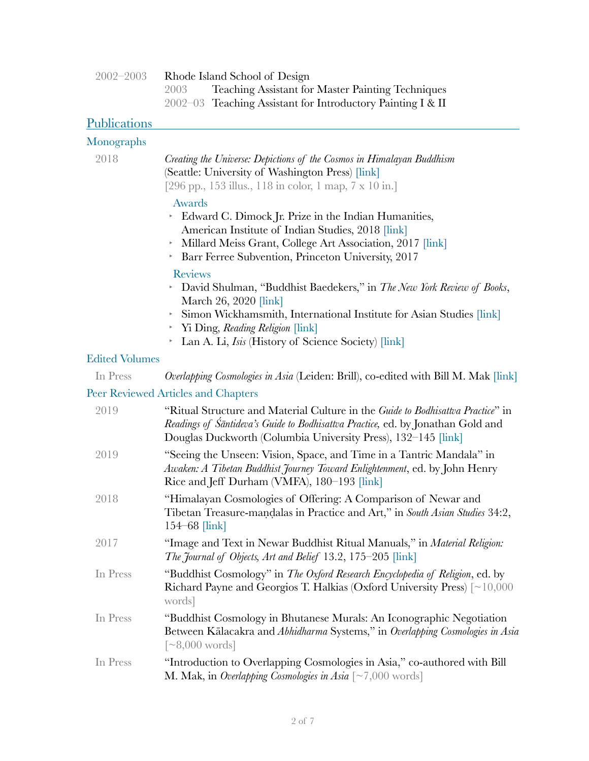| 2002–2003 |      | Rhode Island School of Design                               |
|-----------|------|-------------------------------------------------------------|
|           | 2003 | <b>Teaching Assistant for Master Painting Techniques</b>    |
|           |      | 2002–03 Teaching Assistant for Introductory Painting I & II |

# **Publications**

## Monographs

| 2018                              | Creating the Universe: Depictions of the Cosmos in Himalayan Buddhism<br>(Seattle: University of Washington Press) [link]<br>[296 pp., 153 illus., 118 in color, 1 map, 7 x 10 in.]                                                                |
|-----------------------------------|----------------------------------------------------------------------------------------------------------------------------------------------------------------------------------------------------------------------------------------------------|
|                                   | Awards<br>Edward C. Dimock Jr. Prize in the Indian Humanities,<br>American Institute of Indian Studies, 2018 [link]<br>Millard Meiss Grant, College Art Association, 2017 [link]<br>Þ.<br>Barr Ferree Subvention, Princeton University, 2017<br>Þ. |
|                                   | <b>Reviews</b><br>> David Shulman, "Buddhist Baedekers," in The New York Review of Books,<br>March 26, 2020 [link]<br>Simon Wickhamsmith, International Institute for Asian Studies [link]<br>Þ.<br>Yi Ding, Reading Religion [link]<br>Þ.         |
|                                   | Lan A. Li, <i>Isis</i> (History of Science Society) [link]<br>Þ.                                                                                                                                                                                   |
| <b>Edited Volumes</b><br>In Press | <i>Overlapping Cosmologies in Asia</i> (Leiden: Brill), co-edited with Bill M. Mak [link]                                                                                                                                                          |
|                                   | Peer Reviewed Articles and Chapters                                                                                                                                                                                                                |
| 2019                              | "Ritual Structure and Material Culture in the Guide to Bodhisattva Practice" in<br>Readings of Śāntideva's Guide to Bodhisattva Practice, ed. by Jonathan Gold and<br>Douglas Duckworth (Columbia University Press), 132–145 [link]                |
| 2019                              | "Seeing the Unseen: Vision, Space, and Time in a Tantric Mandala" in<br>Awaken: A Tibetan Buddhist Journey Toward Enlightenment, ed. by John Henry<br>Rice and Jeff Durham (VMFA), 180-193 [link]                                                  |
| 2018                              | "Himalayan Cosmologies of Offering: A Comparison of Newar and<br>Tibetan Treasure-mandalas in Practice and Art," in South Asian Studies 34:2,<br>$154 - 68$ [link]                                                                                 |
| 2017                              | "Image and Text in Newar Buddhist Ritual Manuals," in <i>Material Religion</i> :<br>The Journal of Objects, Art and Belief 13.2, 175–205 [link]                                                                                                    |
| In Press                          | "Buddhist Cosmology" in The Oxford Research Encyclopedia of Religion, ed. by<br>Richard Payne and Georgios T. Halkias (Oxford University Press) [~10,000<br>words]                                                                                 |
| In Press                          | "Buddhist Cosmology in Bhutanese Murals: An Iconographic Negotiation<br>Between Kālacakra and Abhidharma Systems," in Overlapping Cosmologies in Asia<br>$\lceil \sim 8,000 \text{ words} \rceil$                                                  |
| In Press                          | "Introduction to Overlapping Cosmologies in Asia," co-authored with Bill<br><b>M. Mak, in Overlapping Cosmologies in Asia</b> $\lbrack \sim 7,000$ words]                                                                                          |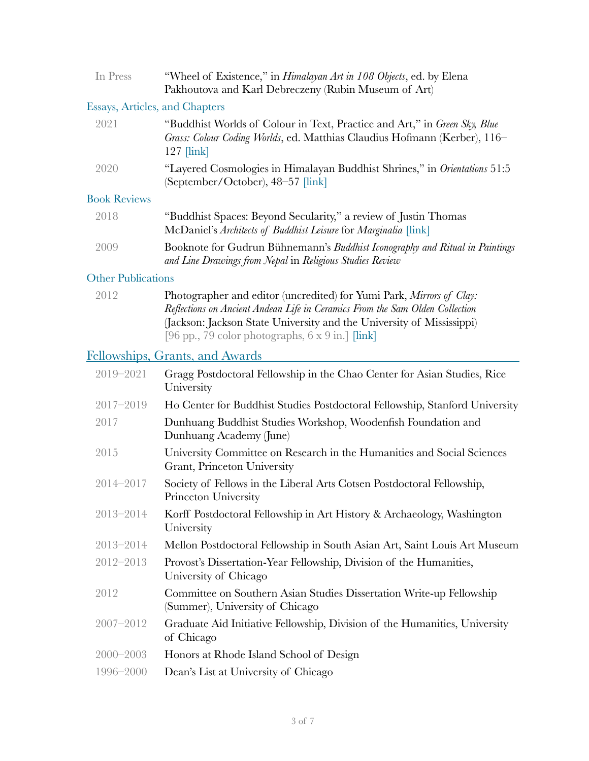| In Press                       | "Wheel of Existence," in <i>Himalayan Art in 108 Objects</i> , ed. by Elena<br>Pakhoutova and Karl Debreczeny (Rubin Museum of Art)                                                           |
|--------------------------------|-----------------------------------------------------------------------------------------------------------------------------------------------------------------------------------------------|
| Essays, Articles, and Chapters |                                                                                                                                                                                               |
| 2021                           | "Buddhist Worlds of Colour in Text, Practice and Art," in Green Sky, Blue<br>Grass: Colour Coding Worlds, ed. Matthias Claudius Hofmann (Kerber), 116–<br>$127$ $\lfloor \text{link} \rfloor$ |
| 2020                           | "Layered Cosmologies in Himalayan Buddhist Shrines," in <i>Orientations</i> 51:5<br>September/October), 48–57 [link]                                                                          |
| <b>Book Reviews</b>            |                                                                                                                                                                                               |
| $\bigcap$ $\bigcap$ $\bigcap$  | $\mathbf{n}$ 10 1 $\cdots$<br>$\alpha$                                                                                                                                                        |

| 2018 | "Buddhist Spaces: Beyond Secularity," a review of Justin Thomas<br>McDaniel's Architects of Buddhist Leisure for Marginalia [link] |
|------|------------------------------------------------------------------------------------------------------------------------------------|
| 2009 | Booknote for Gudrun Bühnemann's Buddhist Iconography and Ritual in Paintings                                                       |

#### Other Publications

| 2012 | Photographer and editor (uncredited) for Yumi Park, Mirrors of Clay:         |
|------|------------------------------------------------------------------------------|
|      | Reflections on Ancient Andean Life in Ceramics From the Sam Olden Collection |
|      | (Jackson: Jackson State University and the University of Mississippi)        |
|      | [96 pp., 79 color photographs, $6 \times 9$ in.] [link]                      |

*and Line Drawings from Nepal* in *Religious Studies Review*

# Fellowships, Grants, and Awards

| Gragg Postdoctoral Fellowship in the Chao Center for Asian Studies, Rice<br>University                  |
|---------------------------------------------------------------------------------------------------------|
| Ho Center for Buddhist Studies Postdoctoral Fellowship, Stanford University                             |
| Dunhuang Buddhist Studies Workshop, Woodenfish Foundation and<br>Dunhuang Academy (June)                |
| University Committee on Research in the Humanities and Social Sciences<br>Grant, Princeton University   |
| Society of Fellows in the Liberal Arts Cotsen Postdoctoral Fellowship,<br>Princeton University          |
| Korff Postdoctoral Fellowship in Art History & Archaeology, Washington<br>University                    |
| Mellon Postdoctoral Fellowship in South Asian Art, Saint Louis Art Museum                               |
| Provost's Dissertation-Year Fellowship, Division of the Humanities,<br>University of Chicago            |
| Committee on Southern Asian Studies Dissertation Write-up Fellowship<br>(Summer), University of Chicago |
| Graduate Aid Initiative Fellowship, Division of the Humanities, University<br>of Chicago                |
| Honors at Rhode Island School of Design                                                                 |
| Dean's List at University of Chicago                                                                    |
|                                                                                                         |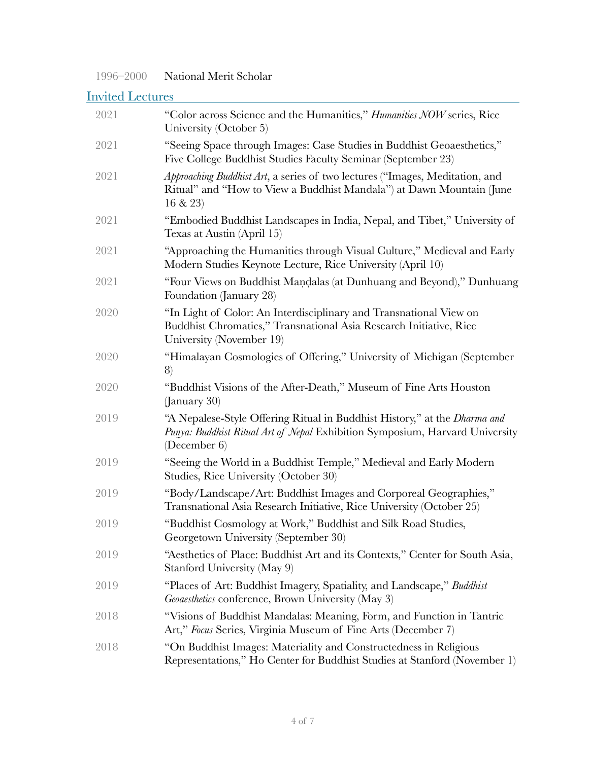#### 1996–2000 National Merit Scholar

# Invited Lectures

| 2021 | "Color across Science and the Humanities," <i>Humanities NOW</i> series, Rice<br>University (October 5)                                                                   |
|------|---------------------------------------------------------------------------------------------------------------------------------------------------------------------------|
| 2021 | "Seeing Space through Images: Case Studies in Buddhist Geoaesthetics,"<br>Five College Buddhist Studies Faculty Seminar (September 23)                                    |
| 2021 | Approaching Buddhist Art, a series of two lectures ("Images, Meditation, and<br>Ritual" and "How to View a Buddhist Mandala") at Dawn Mountain (June<br>$16 \& 23$        |
| 2021 | "Embodied Buddhist Landscapes in India, Nepal, and Tibet," University of<br>Texas at Austin (April 15)                                                                    |
| 2021 | "Approaching the Humanities through Visual Culture," Medieval and Early<br>Modern Studies Keynote Lecture, Rice University (April 10)                                     |
| 2021 | "Four Views on Buddhist Mandalas (at Dunhuang and Beyond)," Dunhuang<br>Foundation (January 28)                                                                           |
| 2020 | "In Light of Color: An Interdisciplinary and Transnational View on<br>Buddhist Chromatics," Transnational Asia Research Initiative, Rice<br>University (November 19)      |
| 2020 | "Himalayan Cosmologies of Offering," University of Michigan (September<br>8)                                                                                              |
| 2020 | "Buddhist Visions of the After-Death," Museum of Fine Arts Houston<br>(January 30)                                                                                        |
| 2019 | "A Nepalese-Style Offering Ritual in Buddhist History," at the Dharma and<br>Punya: Buddhist Ritual Art of Nepal Exhibition Symposium, Harvard University<br>(December 6) |
| 2019 | "Seeing the World in a Buddhist Temple," Medieval and Early Modern<br>Studies, Rice University (October 30)                                                               |
| 2019 | "Body/Landscape/Art: Buddhist Images and Corporeal Geographies,"<br>Transnational Asia Research Initiative, Rice University (October 25)                                  |
| 2019 | "Buddhist Cosmology at Work," Buddhist and Silk Road Studies,<br>Georgetown University (September 30)                                                                     |
| 2019 | "Aesthetics of Place: Buddhist Art and its Contexts," Center for South Asia,<br>Stanford University (May 9)                                                               |
| 2019 | "Places of Art: Buddhist Imagery, Spatiality, and Landscape," Buddhist<br>Geoaesthetics conference, Brown University (May 3)                                              |
| 2018 | "Visions of Buddhist Mandalas: Meaning, Form, and Function in Tantric<br>Art," Focus Series, Virginia Museum of Fine Arts (December 7)                                    |
| 2018 | "On Buddhist Images: Materiality and Constructedness in Religious<br>Representations," Ho Center for Buddhist Studies at Stanford (November 1)                            |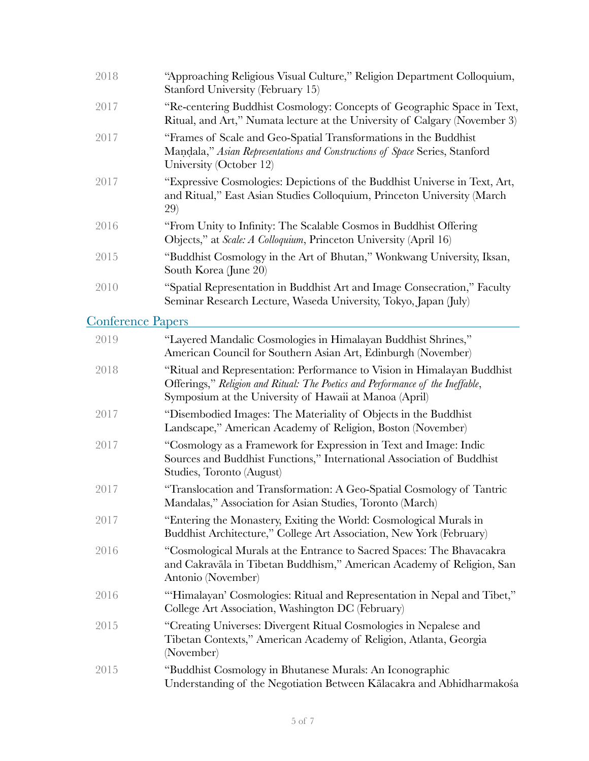| 2018                     | "Approaching Religious Visual Culture," Religion Department Colloquium,<br>Stanford University (February 15)                                                               |
|--------------------------|----------------------------------------------------------------------------------------------------------------------------------------------------------------------------|
| 2017                     | "Re-centering Buddhist Cosmology: Concepts of Geographic Space in Text,<br>Ritual, and Art," Numata lecture at the University of Calgary (November 3)                      |
| 2017                     | "Frames of Scale and Geo-Spatial Transformations in the Buddhist<br>Mandala," Asian Representations and Constructions of Space Series, Stanford<br>University (October 12) |
| 2017                     | "Expressive Cosmologies: Depictions of the Buddhist Universe in Text, Art,<br>and Ritual," East Asian Studies Colloquium, Princeton University (March<br>29)               |
| 2016                     | "From Unity to Infinity: The Scalable Cosmos in Buddhist Offering<br>Objects," at Scale: A Colloquium, Princeton University (April 16)                                     |
| 2015                     | "Buddhist Cosmology in the Art of Bhutan," Wonkwang University, Iksan,<br>South Korea (June 20)                                                                            |
| 2010                     | "Spatial Representation in Buddhist Art and Image Consecration," Faculty<br>Seminar Research Lecture, Waseda University, Tokyo, Japan (July)                               |
| <b>Conference Papers</b> |                                                                                                                                                                            |

| 2019 | "Layered Mandalic Cosmologies in Himalayan Buddhist Shrines,"<br>American Council for Southern Asian Art, Edinburgh (November)                                                                                      |
|------|---------------------------------------------------------------------------------------------------------------------------------------------------------------------------------------------------------------------|
| 2018 | "Ritual and Representation: Performance to Vision in Himalayan Buddhist<br>Offerings," Religion and Ritual: The Poetics and Performance of the Ineffable,<br>Symposium at the University of Hawaii at Manoa (April) |
| 2017 | "Disembodied Images: The Materiality of Objects in the Buddhist<br>Landscape," American Academy of Religion, Boston (November)                                                                                      |
| 2017 | "Cosmology as a Framework for Expression in Text and Image: Indic<br>Sources and Buddhist Functions," International Association of Buddhist<br>Studies, Toronto (August)                                            |
| 2017 | "Translocation and Transformation: A Geo-Spatial Cosmology of Tantric<br>Mandalas," Association for Asian Studies, Toronto (March)                                                                                  |
| 2017 | "Entering the Monastery, Exiting the World: Cosmological Murals in<br>Buddhist Architecture," College Art Association, New York (February)                                                                          |
| 2016 | "Cosmological Murals at the Entrance to Sacred Spaces: The Bhavacakra<br>and Cakravāla in Tibetan Buddhism," American Academy of Religion, San<br>Antonio (November)                                                |
| 2016 | "Himalayan' Cosmologies: Ritual and Representation in Nepal and Tibet,"<br>College Art Association, Washington DC (February)                                                                                        |
| 2015 | "Creating Universes: Divergent Ritual Cosmologies in Nepalese and<br>Tibetan Contexts," American Academy of Religion, Atlanta, Georgia<br>(November)                                                                |
| 2015 | "Buddhist Cosmology in Bhutanese Murals: An Iconographic<br>Understanding of the Negotiation Between Kālacakra and Abhidharmakośa                                                                                   |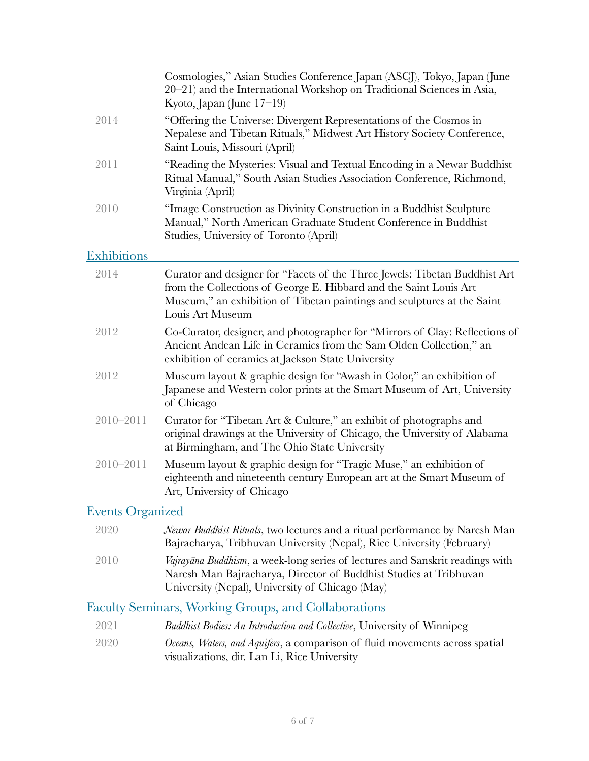|                         | Cosmologies," Asian Studies Conference Japan (ASCJ), Tokyo, Japan (June<br>20–21) and the International Workshop on Traditional Sciences in Asia,<br>Kyoto, Japan (June $17-19$ )                                                              |
|-------------------------|------------------------------------------------------------------------------------------------------------------------------------------------------------------------------------------------------------------------------------------------|
| 2014                    | "Offering the Universe: Divergent Representations of the Cosmos in<br>Nepalese and Tibetan Rituals," Midwest Art History Society Conference,<br>Saint Louis, Missouri (April)                                                                  |
| 2011                    | "Reading the Mysteries: Visual and Textual Encoding in a Newar Buddhist<br>Ritual Manual," South Asian Studies Association Conference, Richmond,<br>Virginia (April)                                                                           |
| 2010                    | "Image Construction as Divinity Construction in a Buddhist Sculpture<br>Manual," North American Graduate Student Conference in Buddhist<br>Studies, University of Toronto (April)                                                              |
| <b>Exhibitions</b>      |                                                                                                                                                                                                                                                |
| 2014                    | Curator and designer for "Facets of the Three Jewels: Tibetan Buddhist Art<br>from the Collections of George E. Hibbard and the Saint Louis Art<br>Museum," an exhibition of Tibetan paintings and sculptures at the Saint<br>Louis Art Museum |
| 2012                    | Co-Curator, designer, and photographer for "Mirrors of Clay: Reflections of<br>Ancient Andean Life in Ceramics from the Sam Olden Collection," an<br>exhibition of ceramics at Jackson State University                                        |
| 2012                    | Museum layout & graphic design for "Awash in Color," an exhibition of<br>Japanese and Western color prints at the Smart Museum of Art, University<br>of Chicago                                                                                |
| $2010 - 2011$           | Curator for "Tibetan Art & Culture," an exhibit of photographs and<br>original drawings at the University of Chicago, the University of Alabama<br>at Birmingham, and The Ohio State University                                                |
| $2010 - 2011$           | Museum layout & graphic design for "Tragic Muse," an exhibition of<br>eighteenth and nineteenth century European art at the Smart Museum of<br>Art, University of Chicago                                                                      |
| <b>Events Organized</b> |                                                                                                                                                                                                                                                |
| 2020                    | <i>Newar Buddhist Rituals</i> , two lectures and a ritual performance by Naresh Man<br>Bajracharya, Tribhuvan University (Nepal), Rice University (February)                                                                                   |
| 2010                    | Vajrayāna Buddhism, a week-long series of lectures and Sanskrit readings with<br>Naresh Man Bajracharya, Director of Buddhist Studies at Tribhuvan<br>University (Nepal), University of Chicago (May)                                          |
|                         | <b>Faculty Seminars, Working Groups, and Collaborations</b>                                                                                                                                                                                    |
| 2021                    | <i>Buddhist Bodies: An Introduction and Collective</i> , University of Winnipeg                                                                                                                                                                |
| 2020                    | Oceans, Waters, and Aquifers, a comparison of fluid movements across spatial                                                                                                                                                                   |

visualizations, dir. Lan Li, Rice University